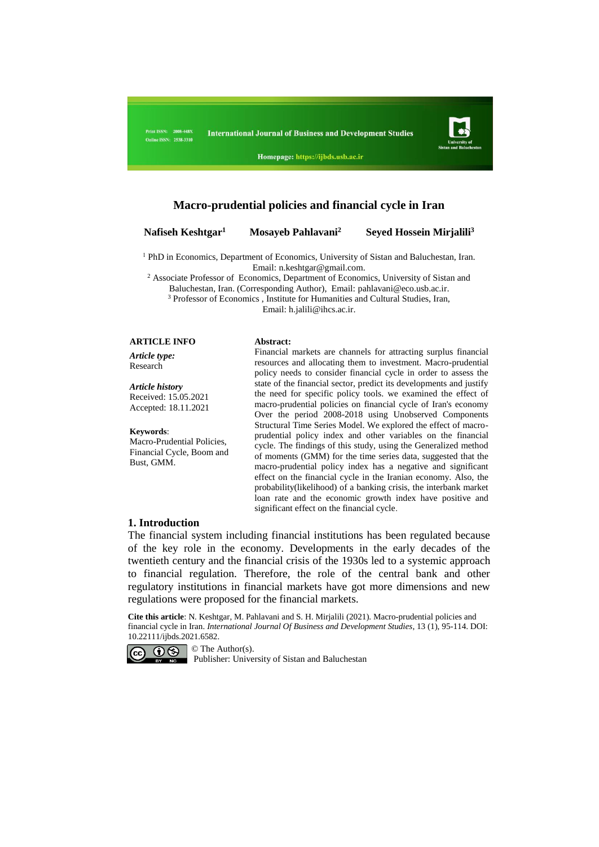Print ISSN: 2008-448X **Online ISSN: 2538-3310** 



Homepage: https://ijbds.usb.ac.ir

# **Macro-prudential policies and financial cycle in Iran**

#### **Nafiseh Keshtgar<sup>1</sup>**

#### **Mosayeb Pahlavani<sup>2</sup>Seyed Hossein Mirjalili<sup>3</sup>**

<sup>1</sup> PhD in Economics, Department of Economics, University of Sistan and Baluchestan, Iran. Email[: n.keshtgar@gmail.com.](mailto:n.keshtgar95@gmail.com)

<sup>2</sup> Associate Professor of Economics, Department of Economics, University of Sistan and Baluchestan, Iran. (Corresponding Author), Email: [pahlavani@eco.usb.ac.ir.](mailto:pahlavani@eco.usb.ac.ir) <sup>3</sup> Professor of Economics, Institute for Humanities and Cultural Studies, Iran,

Email: h.jalili@ihcs.ac.ir.

#### **ARTICLE INFO Abstract:**

*Article type:* Research

*Article history* Received: 15.05.2021 Accepted: 18.11.2021

#### **Keywords**:

Macro-Prudential Policies, Financial Cycle, Boom and Bust, GMM.

Financial markets are channels for attracting surplus financial resources and allocating them to investment. Macro-prudential policy needs to consider financial cycle in order to assess the state of the financial sector, predict its developments and justify the need for specific policy tools. we examined the effect of macro-prudential policies on financial cycle of Iran's economy Over the period 2008-2018 using Unobserved Components Structural Time Series Model. We explored the effect of macroprudential policy index and other variables on the financial cycle. The findings of this study, using the Generalized method of moments (GMM) for the time series data, suggested that the macro-prudential policy index has a negative and significant effect on the financial cycle in the Iranian economy. Also, the probability(likelihood) of a banking crisis, the interbank market loan rate and the economic growth index have positive and

#### **1. Introduction**

The financial system including financial institutions has been regulated because of the key role in the economy. Developments in the early decades of the twentieth century and the financial crisis of the 1930s led to a systemic approach to financial regulation. Therefore, the role of the central bank and other regulatory institutions in financial markets have got more dimensions and new regulations were proposed for the financial markets.

significant effect on the financial cycle.

**Cite this article**: N. Keshtgar, M. Pahlavani and S. H. Mirjalili (2021). Macro-prudential policies and financial cycle in Iran. *International Journal Of Business and Development Studies*, 13 (1), 95-114. DOI: 10.22111/ijbds.2021.6582.



Publisher: University of Sistan and Baluchestan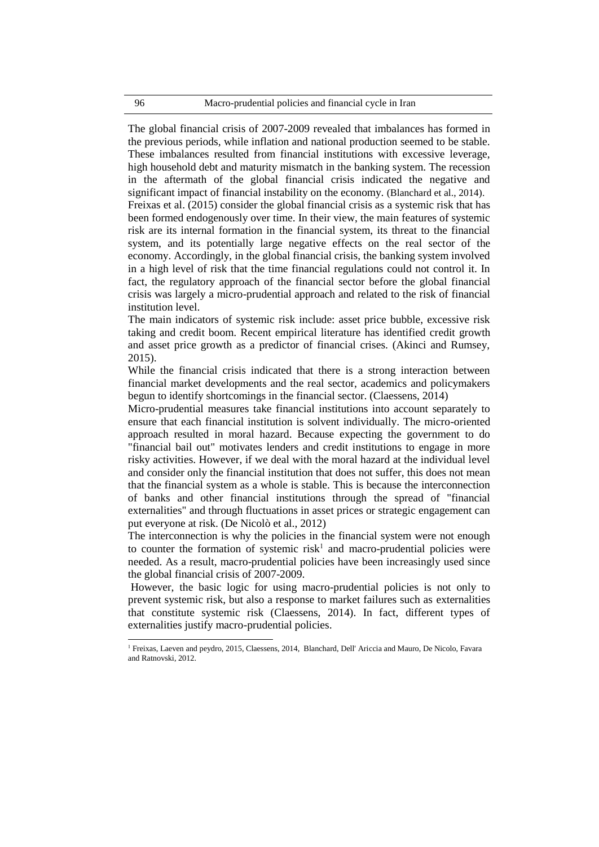The global financial crisis of 2007-2009 revealed that imbalances has formed in the previous periods, while inflation and national production seemed to be stable. These imbalances resulted from financial institutions with excessive leverage, high household debt and maturity mismatch in the banking system. The recession in the aftermath of the global financial crisis indicated the negative and significant impact of financial instability on the economy. (Blanchard et al., 2014). Freixas et al. (2015) consider the global financial crisis as a systemic risk that has been formed endogenously over time. In their view, the main features of systemic risk are its internal formation in the financial system, its threat to the financial system, and its potentially large negative effects on the real sector of the economy. Accordingly, in the global financial crisis, the banking system involved in a high level of risk that the time financial regulations could not control it. In fact, the regulatory approach of the financial sector before the global financial crisis was largely a micro-prudential approach and related to the risk of financial institution level.

The main indicators of systemic risk include: asset price bubble, excessive risk taking and credit boom. Recent empirical literature has identified credit growth and asset price growth as a predictor of financial crises. (Akinci and Rumsey, 2015).

While the financial crisis indicated that there is a strong interaction between financial market developments and the real sector, academics and policymakers begun to identify shortcomings in the financial sector. (Claessens, 2014)

Micro-prudential measures take financial institutions into account separately to ensure that each financial institution is solvent individually. The micro-oriented approach resulted in moral hazard. Because expecting the government to do "financial bail out" motivates lenders and credit institutions to engage in more risky activities. However, if we deal with the moral hazard at the individual level and consider only the financial institution that does not suffer, this does not mean that the financial system as a whole is stable. This is because the interconnection of banks and other financial institutions through the spread of "financial externalities" and through fluctuations in asset prices or strategic engagement can put everyone at risk. (De Nicolò et al., 2012)

The interconnection is why the policies in the financial system were not enough to counter the formation of systemic risk<sup>1</sup> and macro-prudential policies were needed. As a result, macro-prudential policies have been increasingly used since the global financial crisis of 2007-2009.

However, the basic logic for using macro-prudential policies is not only to prevent systemic risk, but also a response to market failures such as externalities that constitute systemic risk (Claessens, 2014). In fact, different types of externalities justify macro-prudential policies.

 $\overline{\phantom{a}}$ 

<sup>1</sup> Freixas, Laeven and peydro, 2015, Claessens, 2014, Blanchard, Dell' Ariccia and Mauro, De Nicolo, Favara and Ratnovski, 2012.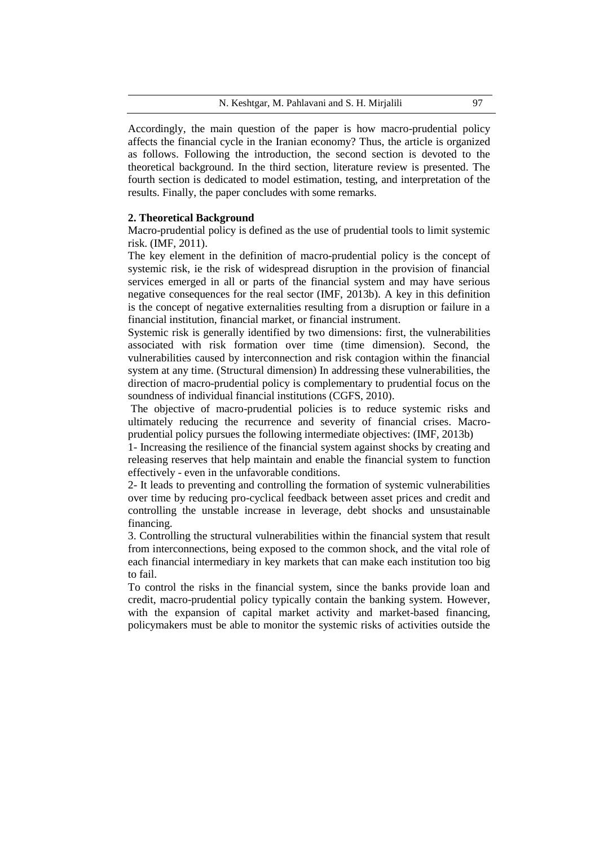Accordingly, the main question of the paper is how macro-prudential policy affects the financial cycle in the Iranian economy? Thus, the article is organized as follows. Following the introduction, the second section is devoted to the theoretical background. In the third section, literature review is presented. The fourth section is dedicated to model estimation, testing, and interpretation of the results. Finally, the paper concludes with some remarks.

# **2. Theoretical Background**

Macro-prudential policy is defined as the use of prudential tools to limit systemic risk. (IMF, 2011).

The key element in the definition of macro-prudential policy is the concept of systemic risk, ie the risk of widespread disruption in the provision of financial services emerged in all or parts of the financial system and may have serious negative consequences for the real sector (IMF, 2013b). A key in this definition is the concept of negative externalities resulting from a disruption or failure in a financial institution, financial market, or financial instrument.

Systemic risk is generally identified by two dimensions: first, the vulnerabilities associated with risk formation over time (time dimension). Second, the vulnerabilities caused by interconnection and risk contagion within the financial system at any time. (Structural dimension) In addressing these vulnerabilities, the direction of macro-prudential policy is complementary to prudential focus on the soundness of individual financial institutions (CGFS, 2010).

The objective of macro-prudential policies is to reduce systemic risks and ultimately reducing the recurrence and severity of financial crises. Macroprudential policy pursues the following intermediate objectives: (IMF, 2013b)

1- Increasing the resilience of the financial system against shocks by creating and releasing reserves that help maintain and enable the financial system to function effectively - even in the unfavorable conditions.

2- It leads to preventing and controlling the formation of systemic vulnerabilities over time by reducing pro-cyclical feedback between asset prices and credit and controlling the unstable increase in leverage, debt shocks and unsustainable financing.

3. Controlling the structural vulnerabilities within the financial system that result from interconnections, being exposed to the common shock, and the vital role of each financial intermediary in key markets that can make each institution too big to fail.

To control the risks in the financial system, since the banks provide loan and credit, macro-prudential policy typically contain the banking system. However, with the expansion of capital market activity and market-based financing, policymakers must be able to monitor the systemic risks of activities outside the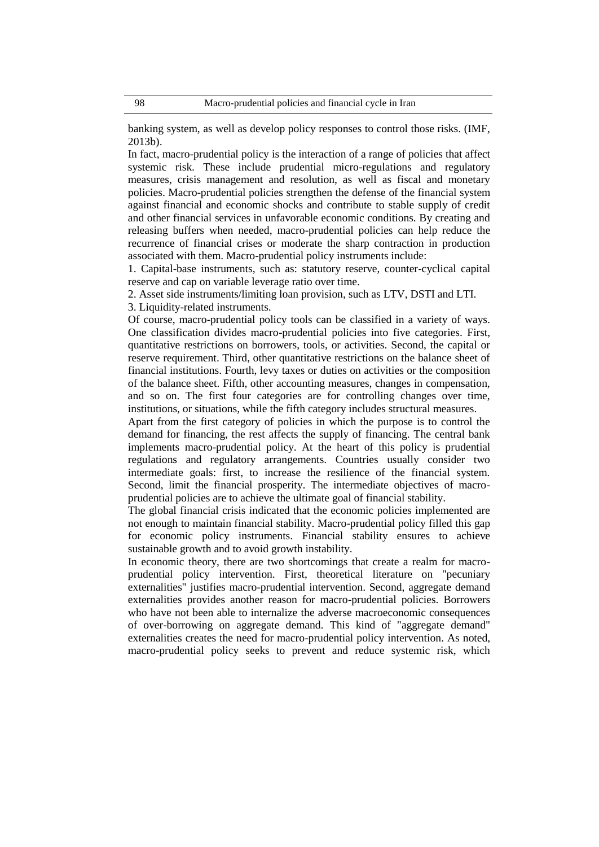banking system, as well as develop policy responses to control those risks. (IMF, 2013b).

In fact, macro-prudential policy is the interaction of a range of policies that affect systemic risk. These include prudential micro-regulations and regulatory measures, crisis management and resolution, as well as fiscal and monetary policies. Macro-prudential policies strengthen the defense of the financial system against financial and economic shocks and contribute to stable supply of credit and other financial services in unfavorable economic conditions. By creating and releasing buffers when needed, macro-prudential policies can help reduce the recurrence of financial crises or moderate the sharp contraction in production associated with them. Macro-prudential policy instruments include:

1. Capital-base instruments, such as: statutory reserve, counter-cyclical capital reserve and cap on variable leverage ratio over time.

2. Asset side instruments/limiting loan provision, such as LTV, DSTI and LTI.

3. Liquidity-related instruments.

Of course, macro-prudential policy tools can be classified in a variety of ways. One classification divides macro-prudential policies into five categories. First, quantitative restrictions on borrowers, tools, or activities. Second, the capital or reserve requirement. Third, other quantitative restrictions on the balance sheet of financial institutions. Fourth, levy taxes or duties on activities or the composition of the balance sheet. Fifth, other accounting measures, changes in compensation, and so on. The first four categories are for controlling changes over time, institutions, or situations, while the fifth category includes structural measures.

Apart from the first category of policies in which the purpose is to control the demand for financing, the rest affects the supply of financing. The central bank implements macro-prudential policy. At the heart of this policy is prudential regulations and regulatory arrangements. Countries usually consider two intermediate goals: first, to increase the resilience of the financial system. Second, limit the financial prosperity. The intermediate objectives of macroprudential policies are to achieve the ultimate goal of financial stability.

The global financial crisis indicated that the economic policies implemented are not enough to maintain financial stability. Macro-prudential policy filled this gap for economic policy instruments. Financial stability ensures to achieve sustainable growth and to avoid growth instability.

In economic theory, there are two shortcomings that create a realm for macroprudential policy intervention. First, theoretical literature on "pecuniary externalities" justifies macro-prudential intervention. Second, aggregate demand externalities provides another reason for macro-prudential policies. Borrowers who have not been able to internalize the adverse macroeconomic consequences of over-borrowing on aggregate demand. This kind of "aggregate demand" externalities creates the need for macro-prudential policy intervention. As noted, macro-prudential policy seeks to prevent and reduce systemic risk, which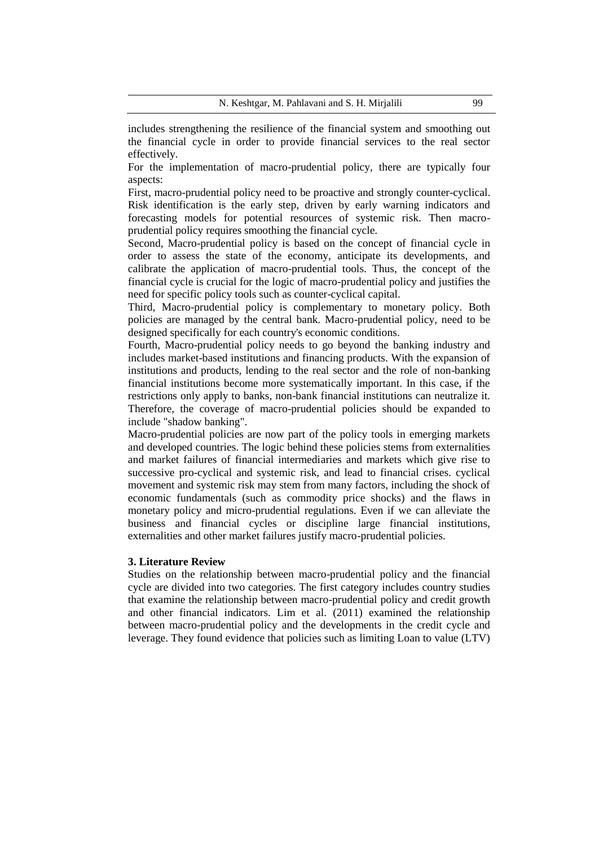includes strengthening the resilience of the financial system and smoothing out the financial cycle in order to provide financial services to the real sector effectively.

For the implementation of macro-prudential policy, there are typically four aspects:

First, macro-prudential policy need to be proactive and strongly counter-cyclical. Risk identification is the early step, driven by early warning indicators and forecasting models for potential resources of systemic risk. Then macroprudential policy requires smoothing the financial cycle.

Second, Macro-prudential policy is based on the concept of financial cycle in order to assess the state of the economy, anticipate its developments, and calibrate the application of macro-prudential tools. Thus, the concept of the financial cycle is crucial for the logic of macro-prudential policy and justifies the need for specific policy tools such as counter-cyclical capital.

Third, Macro-prudential policy is complementary to monetary policy. Both policies are managed by the central bank. Macro-prudential policy, need to be designed specifically for each country's economic conditions.

Fourth, Macro-prudential policy needs to go beyond the banking industry and includes market-based institutions and financing products. With the expansion of institutions and products, lending to the real sector and the role of non-banking financial institutions become more systematically important. In this case, if the restrictions only apply to banks, non-bank financial institutions can neutralize it. Therefore, the coverage of macro-prudential policies should be expanded to include "shadow banking".

Macro-prudential policies are now part of the policy tools in emerging markets and developed countries. The logic behind these policies stems from externalities and market failures of financial intermediaries and markets which give rise to successive pro-cyclical and systemic risk, and lead to financial crises. cyclical movement and systemic risk may stem from many factors, including the shock of economic fundamentals (such as commodity price shocks) and the flaws in monetary policy and micro-prudential regulations. Even if we can alleviate the business and financial cycles or discipline large financial institutions, externalities and other market failures justify macro-prudential policies.

### **3. Literature Review**

Studies on the relationship between macro-prudential policy and the financial cycle are divided into two categories. The first category includes country studies that examine the relationship between macro-prudential policy and credit growth and other financial indicators. Lim et al. (2011) examined the relationship between macro-prudential policy and the developments in the credit cycle and leverage. They found evidence that policies such as limiting Loan to value (LTV)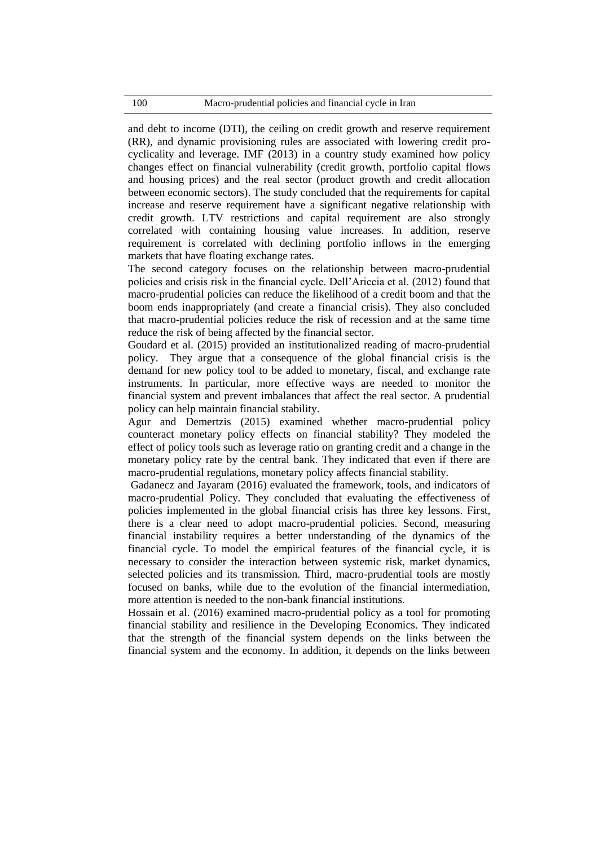and debt to income (DTI), the ceiling on credit growth and reserve requirement (RR), and dynamic provisioning rules are associated with lowering credit procyclicality and leverage. IMF (2013) in a country study examined how policy changes effect on financial vulnerability (credit growth, portfolio capital flows and housing prices) and the real sector (product growth and credit allocation between economic sectors). The study concluded that the requirements for capital increase and reserve requirement have a significant negative relationship with credit growth. LTV restrictions and capital requirement are also strongly correlated with containing housing value increases. In addition, reserve requirement is correlated with declining portfolio inflows in the emerging markets that have floating exchange rates.

The second category focuses on the relationship between macro-prudential policies and crisis risk in the financial cycle. Dell'Ariccia et al. (2012) found that macro-prudential policies can reduce the likelihood of a credit boom and that the boom ends inappropriately (and create a financial crisis). They also concluded that macro-prudential policies reduce the risk of recession and at the same time reduce the risk of being affected by the financial sector.

Goudard et al. (2015) provided an institutionalized reading of macro-prudential policy. They argue that a consequence of the global financial crisis is the demand for new policy tool to be added to monetary, fiscal, and exchange rate instruments. In particular, more effective ways are needed to monitor the financial system and prevent imbalances that affect the real sector. A prudential policy can help maintain financial stability.

Agur and Demertzis (2015) examined whether macro-prudential policy counteract monetary policy effects on financial stability? They modeled the effect of policy tools such as leverage ratio on granting credit and a change in the monetary policy rate by the central bank. They indicated that even if there are macro-prudential regulations, monetary policy affects financial stability.

Gadanecz and Jayaram (2016) evaluated the framework, tools, and indicators of macro-prudential Policy. They concluded that evaluating the effectiveness of policies implemented in the global financial crisis has three key lessons. First, there is a clear need to adopt macro-prudential policies. Second, measuring financial instability requires a better understanding of the dynamics of the financial cycle. To model the empirical features of the financial cycle, it is necessary to consider the interaction between systemic risk, market dynamics, selected policies and its transmission. Third, macro-prudential tools are mostly focused on banks, while due to the evolution of the financial intermediation, more attention is needed to the non-bank financial institutions.

Hossain et al. (2016) examined macro-prudential policy as a tool for promoting financial stability and resilience in the Developing Economics. They indicated that the strength of the financial system depends on the links between the financial system and the economy. In addition, it depends on the links between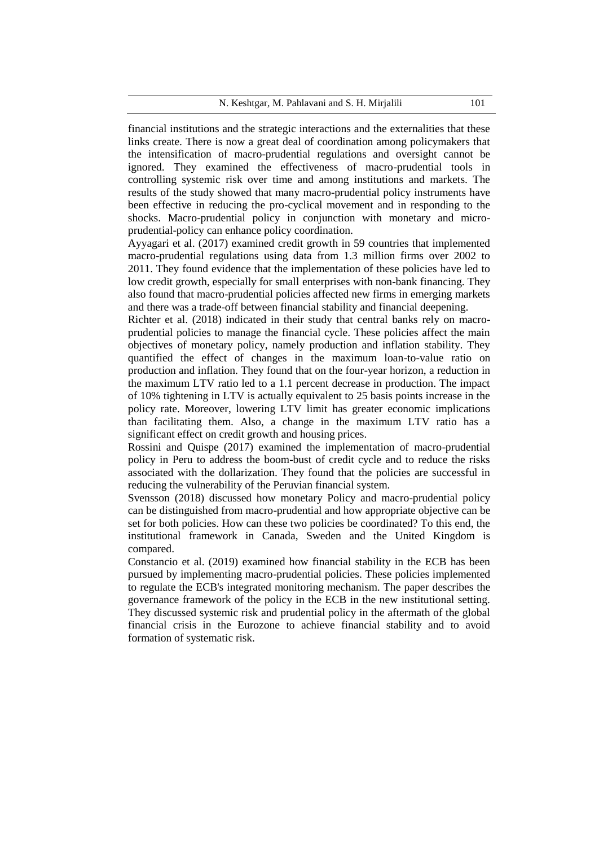financial institutions and the strategic interactions and the externalities that these links create. There is now a great deal of coordination among policymakers that the intensification of macro-prudential regulations and oversight cannot be ignored. They examined the effectiveness of macro-prudential tools in controlling systemic risk over time and among institutions and markets. The results of the study showed that many macro-prudential policy instruments have been effective in reducing the pro-cyclical movement and in responding to the shocks. Macro-prudential policy in conjunction with monetary and microprudential-policy can enhance policy coordination.

Ayyagari et al. (2017) examined credit growth in 59 countries that implemented macro-prudential regulations using data from 1.3 million firms over 2002 to 2011. They found evidence that the implementation of these policies have led to low credit growth, especially for small enterprises with non-bank financing. They also found that macro-prudential policies affected new firms in emerging markets and there was a trade-off between financial stability and financial deepening.

Richter et al. (2018) indicated in their study that central banks rely on macroprudential policies to manage the financial cycle. These policies affect the main objectives of monetary policy, namely production and inflation stability. They quantified the effect of changes in the maximum loan-to-value ratio on production and inflation. They found that on the four-year horizon, a reduction in the maximum LTV ratio led to a 1.1 percent decrease in production. The impact of 10% tightening in LTV is actually equivalent to 25 basis points increase in the policy rate. Moreover, lowering LTV limit has greater economic implications than facilitating them. Also, a change in the maximum LTV ratio has a significant effect on credit growth and housing prices.

Rossini and Quispe (2017) examined the implementation of macro-prudential policy in Peru to address the boom-bust of credit cycle and to reduce the risks associated with the dollarization. They found that the policies are successful in reducing the vulnerability of the Peruvian financial system.

Svensson (2018) discussed how monetary Policy and macro-prudential policy can be distinguished from macro-prudential and how appropriate objective can be set for both policies. How can these two policies be coordinated? To this end, the institutional framework in Canada, Sweden and the United Kingdom is compared.

Constancio et al. (2019) examined how financial stability in the ECB has been pursued by implementing macro-prudential policies. These policies implemented to regulate the ECB's integrated monitoring mechanism. The paper describes the governance framework of the policy in the ECB in the new institutional setting. They discussed systemic risk and prudential policy in the aftermath of the global financial crisis in the Eurozone to achieve financial stability and to avoid formation of systematic risk.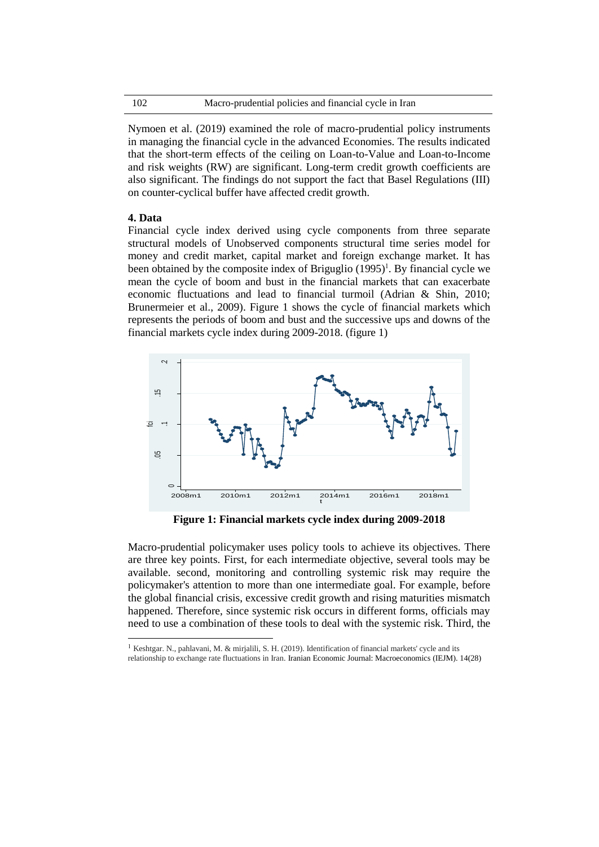Nymoen et al. (2019) examined the role of macro-prudential policy instruments in managing the financial cycle in the advanced Economies. The results indicated that the short-term effects of the ceiling on Loan-to-Value and Loan-to-Income and risk weights (RW) are significant. Long-term credit growth coefficients are also significant. The findings do not support the fact that Basel Regulations (III) on counter-cyclical buffer have affected credit growth.

# **4. Data**

 $\overline{\phantom{a}}$ 

Financial cycle index derived using cycle components from three separate structural models of Unobserved components structural time series model for money and credit market, capital market and foreign exchange market. It has been obtained by the composite index of Briguglio  $(1995)^1$ . By financial cycle we mean the cycle of boom and bust in the financial markets that can exacerbate economic fluctuations and lead to financial turmoil (Adrian & Shin, 2010; Brunermeier et al., 2009). Figure 1 shows the cycle of financial markets which represents the periods of boom and bust and the successive ups and downs of the financial markets cycle index during 2009-2018. (figure 1)



**Figure 1: Financial markets cycle index during 2009-2018**

Macro-prudential policymaker uses policy tools to achieve its objectives. There are three key points. First, for each intermediate objective, several tools may be available. second, monitoring and controlling systemic risk may require the policymaker's attention to more than one intermediate goal. For example, before the global financial crisis, excessive credit growth and rising maturities mismatch happened. Therefore, since systemic risk occurs in different forms, officials may need to use a combination of these tools to deal with the systemic risk. Third, the

<sup>&</sup>lt;sup>1</sup> Keshtgar. N., pahlavani, M. & mirjalili, S. H. (2019). Identification of financial markets' cycle and its relationship to exchange rate fluctuations in Iran. Iranian Economic Journal: Macroeconomics (IEJM). 14(28)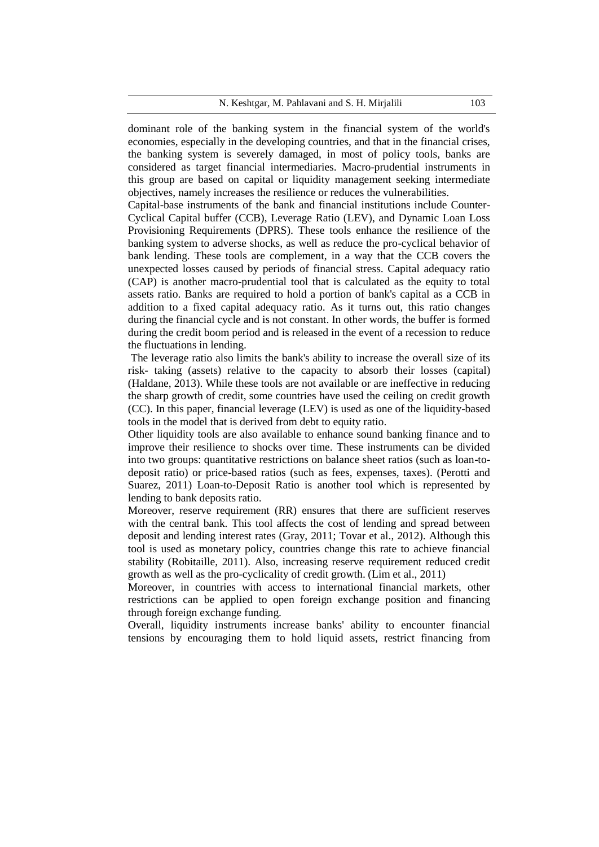N. Keshtgar, M. Pahlavani and S. H. Mirjalili 103

dominant role of the banking system in the financial system of the world's economies, especially in the developing countries, and that in the financial crises, the banking system is severely damaged, in most of policy tools, banks are considered as target financial intermediaries. Macro-prudential instruments in this group are based on capital or liquidity management seeking intermediate objectives, namely increases the resilience or reduces the vulnerabilities.

Capital-base instruments of the bank and financial institutions include Counter-Cyclical Capital buffer (CCB), Leverage Ratio (LEV), and Dynamic Loan Loss Provisioning Requirements (DPRS). These tools enhance the resilience of the banking system to adverse shocks, as well as reduce the pro-cyclical behavior of bank lending. These tools are complement, in a way that the CCB covers the unexpected losses caused by periods of financial stress. Capital adequacy ratio (CAP) is another macro-prudential tool that is calculated as the equity to total assets ratio. Banks are required to hold a portion of bank's capital as a CCB in addition to a fixed capital adequacy ratio. As it turns out, this ratio changes during the financial cycle and is not constant. In other words, the buffer is formed during the credit boom period and is released in the event of a recession to reduce the fluctuations in lending.

The leverage ratio also limits the bank's ability to increase the overall size of its risk- taking (assets) relative to the capacity to absorb their losses (capital) (Haldane, 2013). While these tools are not available or are ineffective in reducing the sharp growth of credit, some countries have used the ceiling on credit growth (CC). In this paper, financial leverage (LEV) is used as one of the liquidity-based tools in the model that is derived from debt to equity ratio.

Other liquidity tools are also available to enhance sound banking finance and to improve their resilience to shocks over time. These instruments can be divided into two groups: quantitative restrictions on balance sheet ratios (such as loan-todeposit ratio) or price-based ratios (such as fees, expenses, taxes). (Perotti and Suarez, 2011) Loan-to-Deposit Ratio is another tool which is represented by lending to bank deposits ratio.

Moreover, reserve requirement (RR) ensures that there are sufficient reserves with the central bank. This tool affects the cost of lending and spread between deposit and lending interest rates (Gray, 2011; Tovar et al., 2012). Although this tool is used as monetary policy, countries change this rate to achieve financial stability (Robitaille, 2011). Also, increasing reserve requirement reduced credit growth as well as the pro-cyclicality of credit growth. (Lim et al., 2011)

Moreover, in countries with access to international financial markets, other restrictions can be applied to open foreign exchange position and financing through foreign exchange funding.

Overall, liquidity instruments increase banks' ability to encounter financial tensions by encouraging them to hold liquid assets, restrict financing from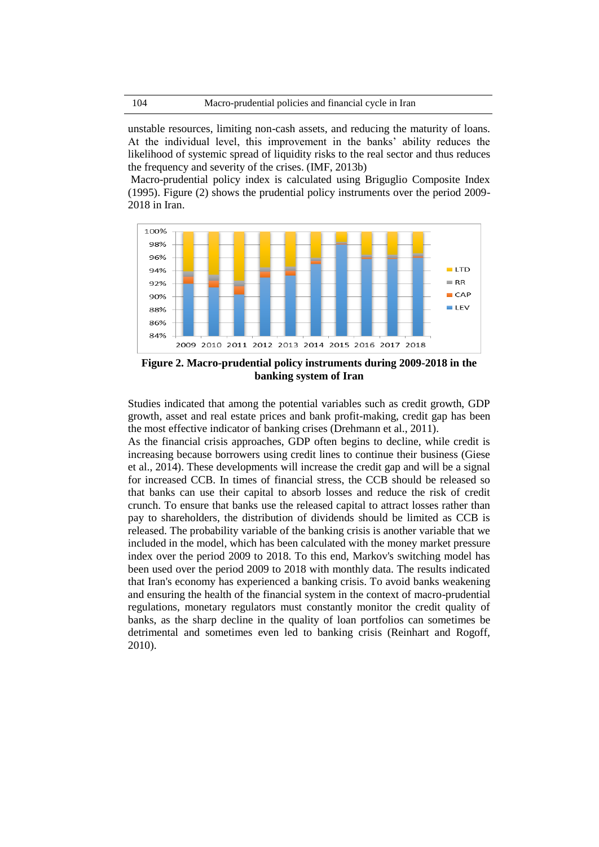unstable resources, limiting non-cash assets, and reducing the maturity of loans. At the individual level, this improvement in the banks' ability reduces the likelihood of systemic spread of liquidity risks to the real sector and thus reduces the frequency and severity of the crises. (IMF, 2013b)

Macro-prudential policy index is calculated using Briguglio Composite Index (1995). Figure (2) shows the prudential policy instruments over the period 2009- 2018 in Iran.



**Figure 2. Macro-prudential policy instruments during 2009-2018 in the banking system of Iran**

Studies indicated that among the potential variables such as credit growth, GDP growth, asset and real estate prices and bank profit-making, credit gap has been the most effective indicator of banking crises (Drehmann et al., 2011).

As the financial crisis approaches, GDP often begins to decline, while credit is increasing because borrowers using credit lines to continue their business (Giese et al., 2014). These developments will increase the credit gap and will be a signal for increased CCB. In times of financial stress, the CCB should be released so that banks can use their capital to absorb losses and reduce the risk of credit crunch. To ensure that banks use the released capital to attract losses rather than pay to shareholders, the distribution of dividends should be limited as CCB is released. The probability variable of the banking crisis is another variable that we included in the model, which has been calculated with the money market pressure index over the period 2009 to 2018. To this end, Markov's switching model has been used over the period 2009 to 2018 with monthly data. The results indicated that Iran's economy has experienced a banking crisis. To avoid banks weakening and ensuring the health of the financial system in the context of macro-prudential regulations, monetary regulators must constantly monitor the credit quality of banks, as the sharp decline in the quality of loan portfolios can sometimes be detrimental and sometimes even led to banking crisis (Reinhart and Rogoff, 2010).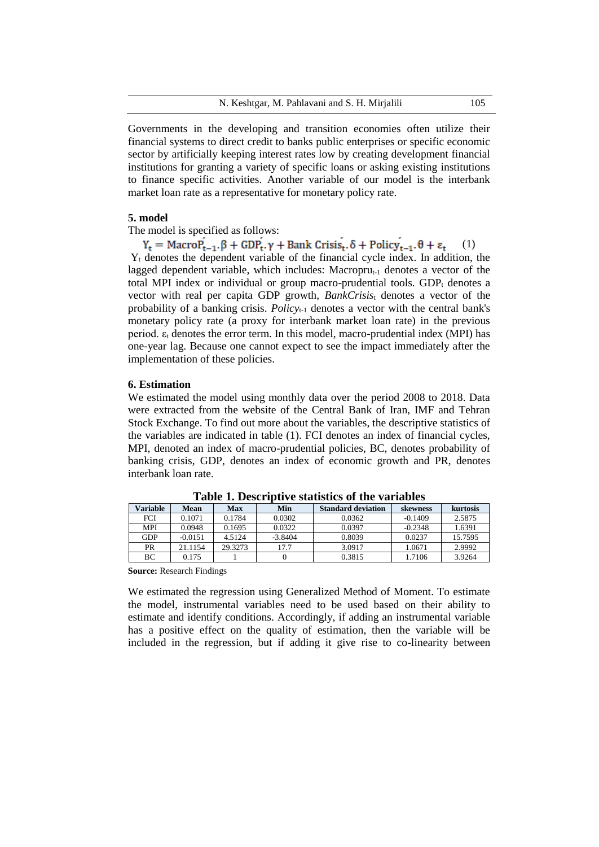Governments in the developing and transition economies often utilize their financial systems to direct credit to banks public enterprises or specific economic sector by artificially keeping interest rates low by creating development financial institutions for granting a variety of specific loans or asking existing institutions to finance specific activities. Another variable of our model is the interbank market loan rate as a representative for monetary policy rate.

## **5. model**

The model is specified as follows:

 $(1)$  $Y_t$  denotes the dependent variable of the financial cycle index. In addition, the lagged dependent variable, which includes: Macropru $_{t-1}$  denotes a vector of the total MPI index or individual or group macro-prudential tools.  $GDP_t$  denotes a vector with real per capita GDP growth, *BankCrisis*<sup>t</sup> denotes a vector of the probability of a banking crisis. *Policy*t-1 denotes a vector with the central bank's monetary policy rate (a proxy for interbank market loan rate) in the previous period.  $\varepsilon_t$  denotes the error term. In this model, macro-prudential index (MPI) has one-year lag. Because one cannot expect to see the impact immediately after the implementation of these policies.

### **6. Estimation**

We estimated the model using monthly data over the period 2008 to 2018. Data were extracted from the website of the Central Bank of Iran, IMF and Tehran Stock Exchange. To find out more about the variables, the descriptive statistics of the variables are indicated in table (1). FCI denotes an index of financial cycles, MPI, denoted an index of macro-prudential policies, BC, denotes probability of banking crisis, GDP, denotes an index of economic growth and PR, denotes interbank loan rate.

| Variable   | Mean      | <b>Max</b> | Min       | <b>Standard deviation</b> | skewness  | kurtosis |
|------------|-----------|------------|-----------|---------------------------|-----------|----------|
| <b>FCI</b> | 0.1071    | 0.1784     | 0.0302    | 0.0362                    | $-0.1409$ | 2.5875   |
| <b>MPI</b> | 0.0948    | 0.1695     | 0.0322    | 0.0397                    | $-0.2348$ | 1.6391   |
| GDP        | $-0.0151$ | 4.5124     | $-3.8404$ | 0.8039                    | 0.0237    | 15.7595  |
| <b>PR</b>  | 21.1154   | 29.3273    | 17.7      | 3.0917                    | 1.0671    | 2.9992   |
| ВC         | 0.175     |            |           | 0.3815                    | 1.7106    | 3.9264   |

**Table 1. Descriptive statistics of the variables**

**Source:** Research Findings

We estimated the regression using Generalized Method of Moment. To estimate the model, instrumental variables need to be used based on their ability to estimate and identify conditions. Accordingly, if adding an instrumental variable has a positive effect on the quality of estimation, then the variable will be included in the regression, but if adding it give rise to co-linearity between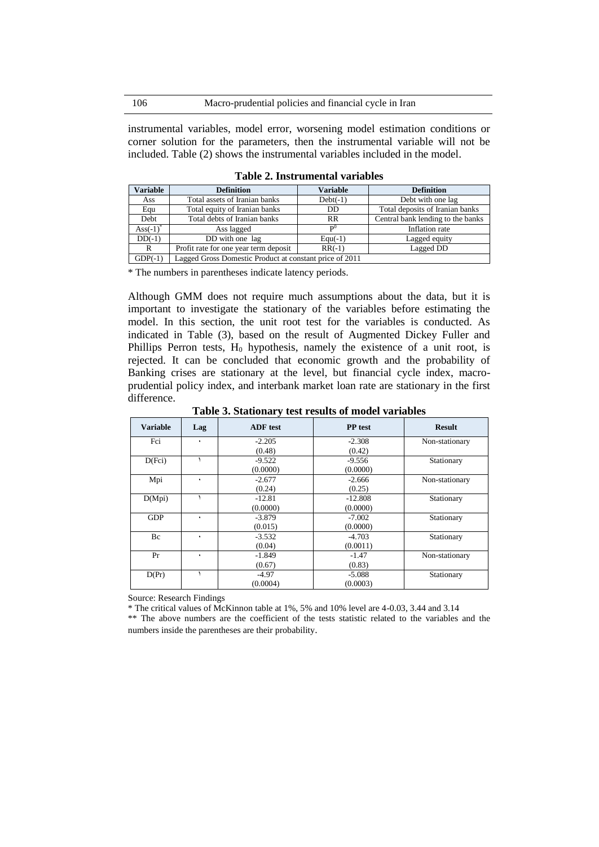instrumental variables, model error, worsening model estimation conditions or corner solution for the parameters, then the instrumental variable will not be included. Table (2) shows the instrumental variables included in the model.

| <b>Variable</b>    | <b>Definition</b>                                       | <b>Variable</b> | <b>Definition</b>                 |  |
|--------------------|---------------------------------------------------------|-----------------|-----------------------------------|--|
| Ass                | Total assets of Iranian banks                           | $Debt(-1)$      | Debt with one lag                 |  |
| Equ                | Total equity of Iranian banks                           | DD              | Total deposits of Iranian banks   |  |
| Debt               | Total debts of Iranian banks                            | RR              | Central bank lending to the banks |  |
| $\text{Ass}(-1)^*$ | Ass lagged                                              | $\mathbf{p}^0$  | Inflation rate                    |  |
| $DD(-1)$           | DD with one lag                                         | $Equ(-1)$       | Lagged equity                     |  |
| R                  | Profit rate for one year term deposit                   | $RR(-1)$        | Lagged DD                         |  |
| $GDP(-1)$          | Lagged Gross Domestic Product at constant price of 2011 |                 |                                   |  |

**Table 2. Instrumental variables**

\* The numbers in parentheses indicate latency periods.

Although GMM does not require much assumptions about the data, but it is important to investigate the stationary of the variables before estimating the model. In this section, the unit root test for the variables is conducted. As indicated in Table (3), based on the result of Augmented Dickey Fuller and Phillips Perron tests,  $H_0$  hypothesis, namely the existence of a unit root, is rejected. It can be concluded that economic growth and the probability of Banking crises are stationary at the level, but financial cycle index, macroprudential policy index, and interbank market loan rate are stationary in the first difference.

| <b>Variable</b> | Lag | <b>ADF</b> test | <b>PP</b> test | <b>Result</b>  |
|-----------------|-----|-----------------|----------------|----------------|
| Fci             | ٠   | $-2.205$        | $-2.308$       | Non-stationary |
|                 |     | (0.48)          | (0.42)         |                |
| D(Fci)          |     | $-9.522$        | $-9.556$       | Stationary     |
|                 |     | (0.0000)        | (0.0000)       |                |
| Mpi             | ٠   | $-2.677$        | $-2.666$       | Non-stationary |
|                 |     | (0.24)          | (0.25)         |                |
| D(Mpi)          |     | $-12.81$        | $-12.808$      | Stationary     |
|                 |     | (0.0000)        | (0.0000)       |                |
| <b>GDP</b>      | ٠   | $-3.879$        | $-7.002$       | Stationary     |
|                 |     | (0.015)         | (0.0000)       |                |
| Bc              | ٠   | $-3.532$        | $-4.703$       | Stationary     |
|                 |     | (0.04)          | (0.0011)       |                |
| Pr              | ٠   | $-1.849$        | $-1.47$        | Non-stationary |
|                 |     | (0.67)          | (0.83)         |                |
| D(Pr)           |     | $-4.97$         | $-5.088$       | Stationary     |
|                 |     | (0.0004)        | (0.0003)       |                |

**Table 3. Stationary test results of model variables**

Source: Research Findings

\* The critical values of McKinnon table at 1%, 5% and 10% level are 4-0.03, 3.44 and 3.14 \*\* The above numbers are the coefficient of the tests statistic related to the variables and the numbers inside the parentheses are their probability.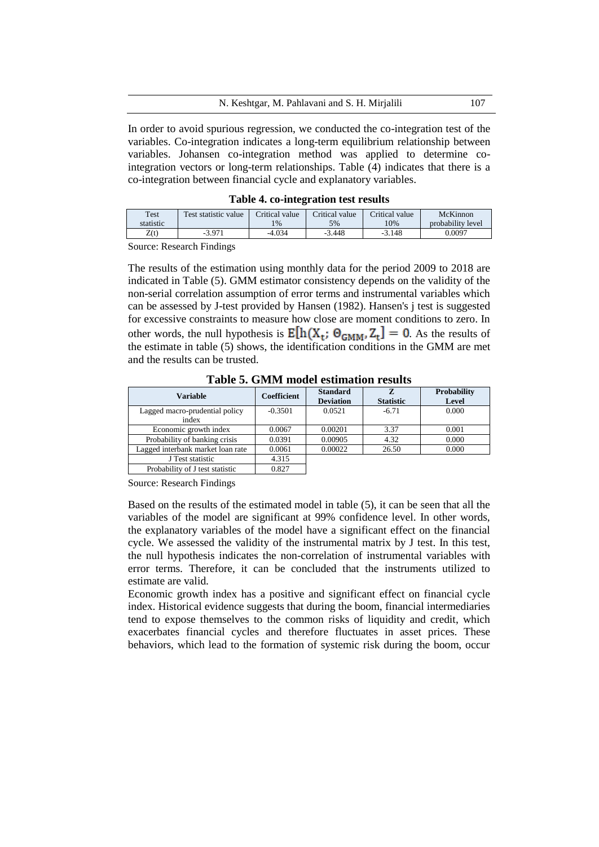In order to avoid spurious regression, we conducted the co-integration test of the variables. Co-integration indicates a long-term equilibrium relationship between variables. Johansen co-integration method was applied to determine cointegration vectors or long-term relationships. Table (4) indicates that there is a co-integration between financial cycle and explanatory variables.

|  |  | Table 4. co-integration test results |  |
|--|--|--------------------------------------|--|
|--|--|--------------------------------------|--|

| Test      | Test statistic value | Critical value | Critical value | Critical value | McKinnon          |
|-----------|----------------------|----------------|----------------|----------------|-------------------|
| statistic |                      | $1\%$          | 5%             | 10%            | probability level |
| Z(t)      | -3.971<br>- 7        | $-4.034$       | $-3.448$       | $-3.148$       | 0.0097            |

Source: Research Findings

The results of the estimation using monthly data for the period 2009 to 2018 are indicated in Table (5). GMM estimator consistency depends on the validity of the non-serial correlation assumption of error terms and instrumental variables which can be assessed by J-test provided by Hansen (1982). Hansen's j test is suggested for excessive constraints to measure how close are moment conditions to zero. In other words, the null hypothesis is  $E[h(X_t; \Theta_{GMM}, Z_t] = 0$ . As the results of the estimate in table (5) shows, the identification conditions in the GMM are met and the results can be trusted.

**Table 5. GMM model estimation results**

| <b>Variable</b>                         | <b>Coefficient</b> | <b>Standard</b><br><b>Deviation</b> | z<br><b>Statistic</b> | <b>Probability</b><br>Level |
|-----------------------------------------|--------------------|-------------------------------------|-----------------------|-----------------------------|
| Lagged macro-prudential policy<br>index | $-0.3501$          | 0.0521                              | $-6.71$               | 0.000                       |
| Economic growth index                   | 0.0067             | 0.00201                             | 3.37                  | 0.001                       |
| Probability of banking crisis           | 0.0391             | 0.00905                             | 4.32                  | 0.000                       |
| Lagged interbank market loan rate       | 0.0061             | 0.00022                             | 26.50                 | 0.000                       |
| J Test statistic                        | 4.315              |                                     |                       |                             |
| Probability of J test statistic         | 0.827              |                                     |                       |                             |

Source: Research Findings

Based on the results of the estimated model in table (5), it can be seen that all the variables of the model are significant at 99% confidence level. In other words, the explanatory variables of the model have a significant effect on the financial cycle. We assessed the validity of the instrumental matrix by J test. In this test, the null hypothesis indicates the non-correlation of instrumental variables with error terms. Therefore, it can be concluded that the instruments utilized to estimate are valid.

Economic growth index has a positive and significant effect on financial cycle index. Historical evidence suggests that during the boom, financial intermediaries tend to expose themselves to the common risks of liquidity and credit, which exacerbates financial cycles and therefore fluctuates in asset prices. These behaviors, which lead to the formation of systemic risk during the boom, occur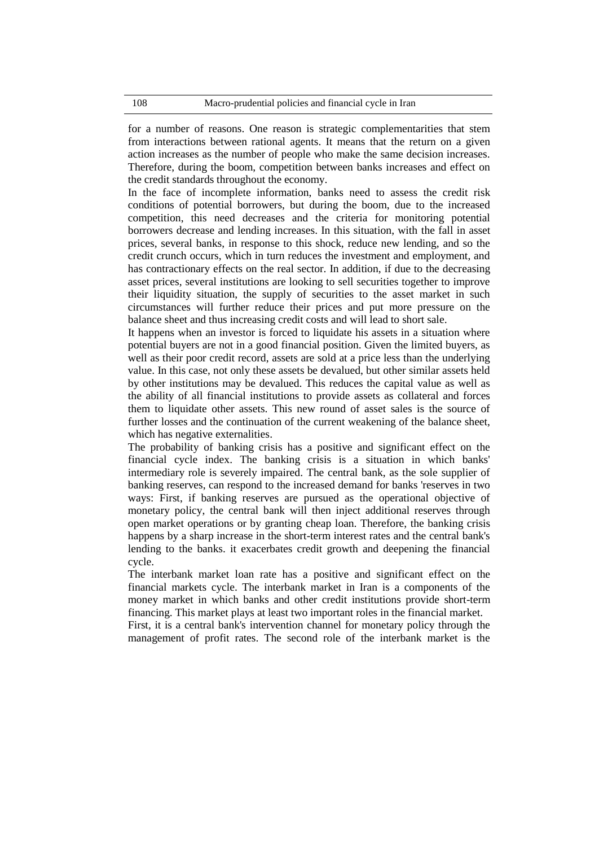for a number of reasons. One reason is strategic complementarities that stem from interactions between rational agents. It means that the return on a given action increases as the number of people who make the same decision increases. Therefore, during the boom, competition between banks increases and effect on the credit standards throughout the economy.

In the face of incomplete information, banks need to assess the credit risk conditions of potential borrowers, but during the boom, due to the increased competition, this need decreases and the criteria for monitoring potential borrowers decrease and lending increases. In this situation, with the fall in asset prices, several banks, in response to this shock, reduce new lending, and so the credit crunch occurs, which in turn reduces the investment and employment, and has contractionary effects on the real sector. In addition, if due to the decreasing asset prices, several institutions are looking to sell securities together to improve their liquidity situation, the supply of securities to the asset market in such circumstances will further reduce their prices and put more pressure on the balance sheet and thus increasing credit costs and will lead to short sale.

It happens when an investor is forced to liquidate his assets in a situation where potential buyers are not in a good financial position. Given the limited buyers, as well as their poor credit record, assets are sold at a price less than the underlying value. In this case, not only these assets be devalued, but other similar assets held by other institutions may be devalued. This reduces the capital value as well as the ability of all financial institutions to provide assets as collateral and forces them to liquidate other assets. This new round of asset sales is the source of further losses and the continuation of the current weakening of the balance sheet, which has negative externalities.

The probability of banking crisis has a positive and significant effect on the financial cycle index. The banking crisis is a situation in which banks' intermediary role is severely impaired. The central bank, as the sole supplier of banking reserves, can respond to the increased demand for banks 'reserves in two ways: First, if banking reserves are pursued as the operational objective of monetary policy, the central bank will then inject additional reserves through open market operations or by granting cheap loan. Therefore, the banking crisis happens by a sharp increase in the short-term interest rates and the central bank's lending to the banks. it exacerbates credit growth and deepening the financial cycle.

The interbank market loan rate has a positive and significant effect on the financial markets cycle. The interbank market in Iran is a components of the money market in which banks and other credit institutions provide short-term financing. This market plays at least two important roles in the financial market.

First, it is a central bank's intervention channel for monetary policy through the management of profit rates. The second role of the interbank market is the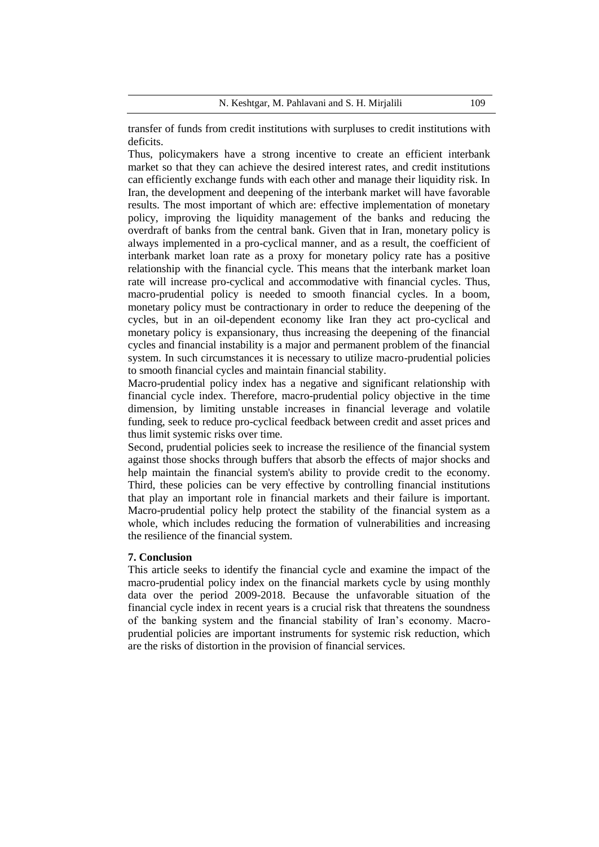transfer of funds from credit institutions with surpluses to credit institutions with deficits.

Thus, policymakers have a strong incentive to create an efficient interbank market so that they can achieve the desired interest rates, and credit institutions can efficiently exchange funds with each other and manage their liquidity risk. In Iran, the development and deepening of the interbank market will have favorable results. The most important of which are: effective implementation of monetary policy, improving the liquidity management of the banks and reducing the overdraft of banks from the central bank. Given that in Iran, monetary policy is always implemented in a pro-cyclical manner, and as a result, the coefficient of interbank market loan rate as a proxy for monetary policy rate has a positive relationship with the financial cycle. This means that the interbank market loan rate will increase pro-cyclical and accommodative with financial cycles. Thus, macro-prudential policy is needed to smooth financial cycles. In a boom, monetary policy must be contractionary in order to reduce the deepening of the cycles, but in an oil-dependent economy like Iran they act pro-cyclical and monetary policy is expansionary, thus increasing the deepening of the financial cycles and financial instability is a major and permanent problem of the financial system. In such circumstances it is necessary to utilize macro-prudential policies to smooth financial cycles and maintain financial stability.

Macro-prudential policy index has a negative and significant relationship with financial cycle index. Therefore, macro-prudential policy objective in the time dimension, by limiting unstable increases in financial leverage and volatile funding, seek to reduce pro-cyclical feedback between credit and asset prices and thus limit systemic risks over time.

Second, prudential policies seek to increase the resilience of the financial system against those shocks through buffers that absorb the effects of major shocks and help maintain the financial system's ability to provide credit to the economy. Third, these policies can be very effective by controlling financial institutions that play an important role in financial markets and their failure is important. Macro-prudential policy help protect the stability of the financial system as a whole, which includes reducing the formation of vulnerabilities and increasing the resilience of the financial system.

### **7. Conclusion**

This article seeks to identify the financial cycle and examine the impact of the macro-prudential policy index on the financial markets cycle by using monthly data over the period 2009-2018. Because the unfavorable situation of the financial cycle index in recent years is a crucial risk that threatens the soundness of the banking system and the financial stability of Iran's economy. Macroprudential policies are important instruments for systemic risk reduction, which are the risks of distortion in the provision of financial services.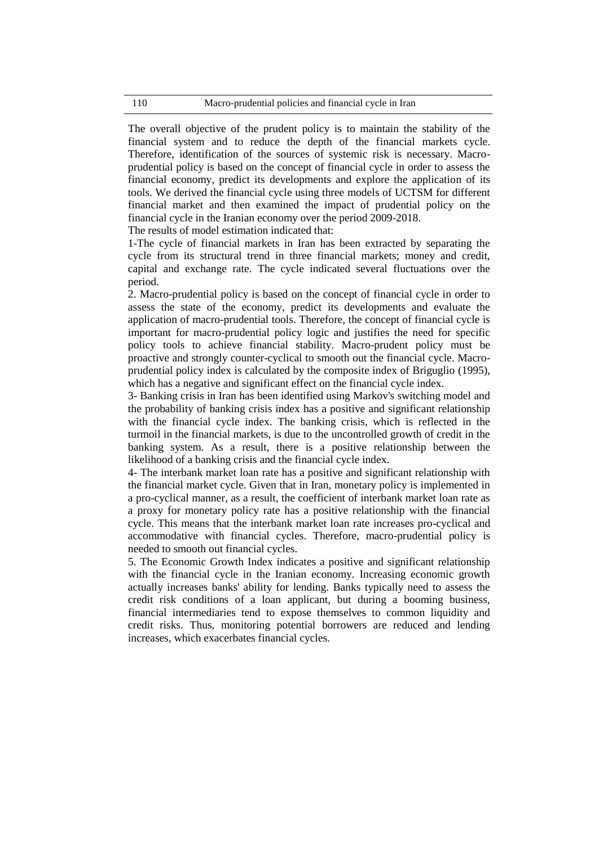The overall objective of the prudent policy is to maintain the stability of the financial system and to reduce the depth of the financial markets cycle. Therefore, identification of the sources of systemic risk is necessary. Macroprudential policy is based on the concept of financial cycle in order to assess the financial economy, predict its developments and explore the application of its tools. We derived the financial cycle using three models of UCTSM for different financial market and then examined the impact of prudential policy on the financial cycle in the Iranian economy over the period 2009-2018.

The results of model estimation indicated that:

1-The cycle of financial markets in Iran has been extracted by separating the cycle from its structural trend in three financial markets; money and credit, capital and exchange rate. The cycle indicated several fluctuations over the period.

2. Macro-prudential policy is based on the concept of financial cycle in order to assess the state of the economy, predict its developments and evaluate the application of macro-prudential tools. Therefore, the concept of financial cycle is important for macro-prudential policy logic and justifies the need for specific policy tools to achieve financial stability. Macro-prudent policy must be proactive and strongly counter-cyclical to smooth out the financial cycle. Macroprudential policy index is calculated by the composite index of Briguglio (1995), which has a negative and significant effect on the financial cycle index.

3- Banking crisis in Iran has been identified using Markov's switching model and the probability of banking crisis index has a positive and significant relationship with the financial cycle index. The banking crisis, which is reflected in the turmoil in the financial markets, is due to the uncontrolled growth of credit in the banking system. As a result, there is a positive relationship between the likelihood of a banking crisis and the financial cycle index.

4- The interbank market loan rate has a positive and significant relationship with the financial market cycle. Given that in Iran, monetary policy is implemented in a pro-cyclical manner, as a result, the coefficient of interbank market loan rate as a proxy for monetary policy rate has a positive relationship with the financial cycle. This means that the interbank market loan rate increases pro-cyclical and accommodative with financial cycles. Therefore, macro-prudential policy is needed to smooth out financial cycles.

5. The Economic Growth Index indicates a positive and significant relationship with the financial cycle in the Iranian economy. Increasing economic growth actually increases banks' ability for lending. Banks typically need to assess the credit risk conditions of a loan applicant, but during a booming business, financial intermediaries tend to expose themselves to common liquidity and credit risks. Thus, monitoring potential borrowers are reduced and lending increases, which exacerbates financial cycles.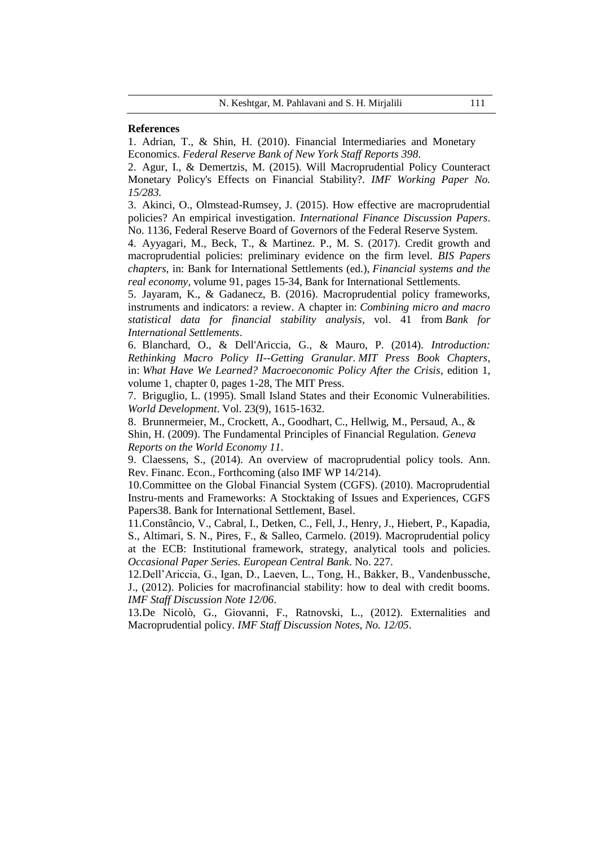#### **References**

1. Adrian, T., & Shin, H. (2010). Financial Intermediaries and Monetary Economics. *Federal Reserve Bank of New York Staff Reports 398*.

2. Agur, I., & Demertzis, M. (2015). Will Macroprudential Policy Counteract Monetary Policy's Effects on Financial Stability?. *[IMF Working Paper No.](https://papers.ssrn.com/sol3/papers.cfm?abstract_id=2754913##)  [15/283.](https://papers.ssrn.com/sol3/papers.cfm?abstract_id=2754913##)*

3. Akinci, O., Olmstead-Rumsey, J. (2015). How effective are macroprudential policies? An empirical investigation. *International Finance Discussion Papers*. No. 1136, Federal Reserve Board of Governors of the Federal Reserve System.

4. Ayyagari, M., Beck, T., & Martinez. P., M. S. (2017). Credit growth and macroprudential policies: preliminary evidence on the firm level. *[BIS Papers](https://ideas.repec.org/s/bis/bisbpc.html)  [chapters](https://ideas.repec.org/s/bis/bisbpc.html)*, in: Bank for International Settlements (ed.), *[Financial systems and the](https://ideas.repec.org/b/bis/bisbps/91.html)  [real economy,](https://ideas.repec.org/b/bis/bisbps/91.html)* volume 91, pages 15-34, Bank for International Settlements.

5. Jayaram, K., & Gadanecz, B. (2016). Macroprudential policy frameworks, instruments and indicators: a review. A chapter in: *[Combining micro and macro](https://econpapers.repec.org/bookchap/bisbisifb/41.htm)  [statistical data for financial stability analysis](https://econpapers.repec.org/bookchap/bisbisifb/41.htm)*, vol. 41 from *[Bank for](http://www.bis.org/)  [International Settlements](http://www.bis.org/)*.

6. Blanchard, O., & Dell'Ariccia, G., & Mauro, P. (2014). *[Introduction:](https://ideas.repec.org/h/mtp/chapts/0262027348-intro.html)  [Rethinking Macro Policy II--Getting Granular.](https://ideas.repec.org/h/mtp/chapts/0262027348-intro.html) [MIT Press Book Chapters](https://ideas.repec.org/s/mtp/chapts.html)*, in: *[What Have We Learned? Macroeconomic Policy After the Crisis](https://ideas.repec.org/b/mtp/titles/0262027348-introduction.html)*, edition 1, volume 1, chapter 0, pages 1-28, The MIT Press.

7. Briguglio, L. (1995). Small Island States and their Economic Vulnerabilities. *World Development*. Vol. 23(9), 1615-1632.

8. Brunnermeier, M., Crockett, A., Goodhart, C., Hellwig, M., Persaud, A., & Shin, H. (2009). The Fundamental Principles of Financial Regulation. *Geneva Reports on the World Economy 11*.

9. Claessens, S., (2014). An overview of macroprudential policy tools. Ann. Rev. Financ. Econ., Forthcoming (also IMF WP 14/214).

10.Committee on the Global Financial System (CGFS). (2010). Macroprudential Instru-ments and Frameworks: A Stocktaking of Issues and Experiences, CGFS Papers38. Bank for International Settlement, Basel.

11.Constâncio, V., Cabral, I., Detken, C., Fell, J., Henry, J., Hiebert, P., Kapadia, S., Altimari, S. N., Pires, F., & Salleo, Carmelo. (2019). Macroprudential policy at the ECB: Institutional framework, strategy, analytical tools and policies. *Occasional Paper Series. European Central Bank*. No. 227.

12.Dell'Ariccia, G., Igan, D., Laeven, L., Tong, H., Bakker, B., Vandenbussche, J., (2012). Policies for macrofinancial stability: how to deal with credit booms. *IMF Staff Discussion Note 12/06*.

13.De Nicolò, G., Giovanni, F., Ratnovski, L., (2012). Externalities and Macroprudential policy. *IMF Staff Discussion Notes, No. 12/05*.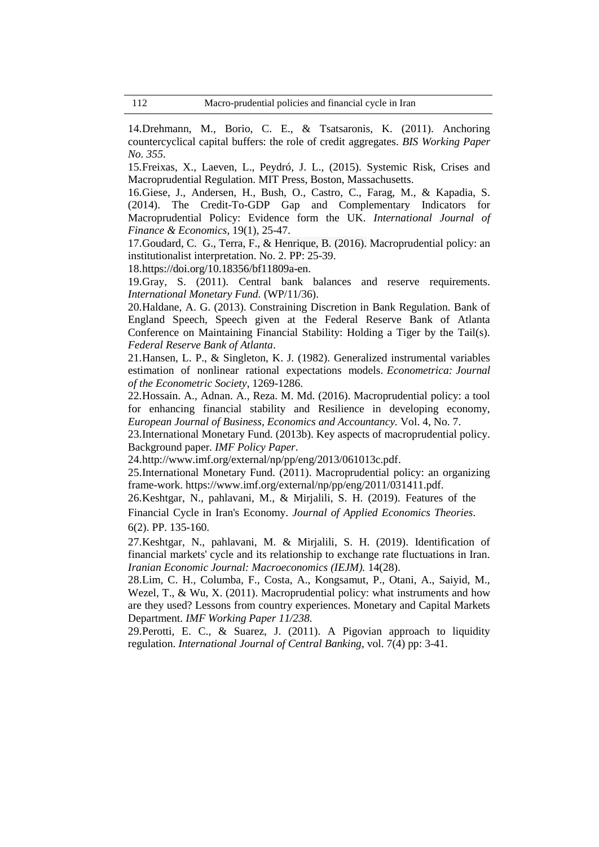14.Drehmann, M., Borio, C. E., & Tsatsaronis, K. (2011). Anchoring countercyclical capital buffers: the role of credit aggregates. *BIS Working Paper No. 355*.

15.Freixas, X., Laeven, L., Peydró, J. L., (2015). Systemic Risk, Crises and Macroprudential Regulation. MIT Press, Boston, Massachusetts.

16.Giese, J., Andersen, H., Bush, O., Castro, C., Farag, M., & Kapadia, S. (2014). The Credit-To-GDP Gap and Complementary Indicators for Macroprudential Policy: Evidence form the UK. *International Journal of Finance & Economics*, 19(1), 25-47.

17.Goudard, C. G., Terra, F., & Henrique, B. (2016). Macroprudential policy: an institutionalist interpretation. No. 2. PP: 25-39.

18[.https://doi.org/10.18356/bf11809a-en.](https://doi.org/10.18356/bf11809a-en)

19.Gray, S. (2011). Central bank balances and reserve requirements. *International Monetary Fund.* (WP/11/36).

20.Haldane, A. G. (2013). Constraining Discretion in Bank Regulation. Bank of England Speech, Speech given at the Federal Reserve Bank of Atlanta Conference on Maintaining Financial Stability: Holding a Tiger by the Tail(s). *Federal Reserve Bank of Atlanta*.

21.Hansen, L. P., & Singleton, K. J. (1982). Generalized instrumental variables estimation of nonlinear rational expectations models. *Econometrica: Journal of the Econometric Society*, 1269-1286.

22.Hossain. A., Adnan. A., Reza. M. Md. (2016). Macroprudential policy: a tool for enhancing financial stability and Resilience in developing economy, *European Journal of Business, Economics and Accountancy.* Vol. 4, No. 7.

23.International Monetary Fund. (2013b). Key aspects of macroprudential policy. Background paper. *IMF Policy Paper*.

24[.http://www.imf.org/external/np/pp/eng/2013/061013c.pdf.](http://www.imf.org/external/np/pp/eng/2013/061013c.pdf)

25.International Monetary Fund. (2011). Macroprudential policy: an organizing frame-work. https://www.imf.org/external/np/pp/eng/2011/031411.pdf.

26.Keshtgar, N., pahlavani, M., & Mirjalili, S. H. (2019). Features of the Financial Cycle in Iran's Economy. *Journal of Applied Economics Theories*. 6(2). PP. 135-160.

27.Keshtgar, N., pahlavani, M. & Mirjalili, S. H. (2019). Identification of financial markets' cycle and its relationship to exchange rate fluctuations in Iran. *Iranian Economic Journal: Macroeconomics (IEJM).* 14(28).

28.Lim, C. H., Columba, F., Costa, A., Kongsamut, P., Otani, A., Saiyid, M., Wezel, T., & Wu, X. (2011). Macroprudential policy: what instruments and how are they used? Lessons from country experiences. Monetary and Capital Markets Department. *IMF Working Paper 11/238.*

29.Perotti, E. C., & Suarez, J. (2011). A Pigovian approach to liquidity regulation. *International Journal of Central Banking*, vol. 7(4) pp: 3-41.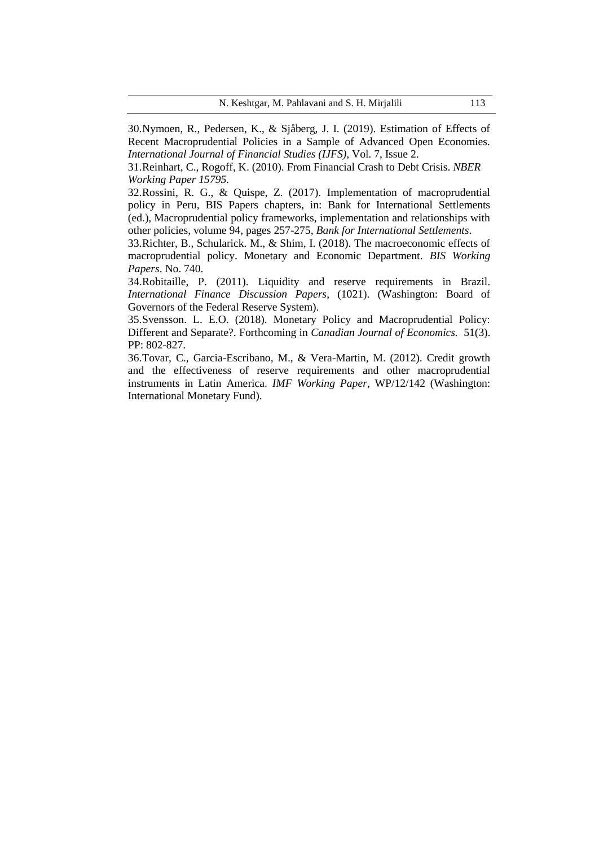30.Nymoen, R., Pedersen, K., & Sjåberg, J. I. (2019). Estimation of Effects of Recent Macroprudential Policies in a Sample of Advanced Open Economies. *International Journal of Financial Studies (IJFS)*, Vol. 7, Issue 2.

31.Reinhart, C., Rogoff, K. (2010). From Financial Crash to Debt Crisis. *NBER Working Paper 15795.*

32.Rossini, R. G., & Quispe, Z. (2017). [Implementation of macroprudential](https://ideas.repec.org/h/bis/bisbpc/94-20.html)  [policy in Peru,](https://ideas.repec.org/h/bis/bisbpc/94-20.html) [BIS Papers chapters,](https://ideas.repec.org/s/bis/bisbpc.html) in: Bank for International Settlements (ed.), [Macroprudential policy frameworks, implementation and relationships with](https://ideas.repec.org/b/bis/bisbps/94.html)  [other policies,](https://ideas.repec.org/b/bis/bisbps/94.html) volume 94, pages 257-275, *Bank for International Settlements*.

33.Richter, B., Schularick. M., & Shim, I. (2018). The macroeconomic effects of macroprudential policy. Monetary and Economic Department. *BIS Working Papers*. No. 740.

34.Robitaille, P. (2011). Liquidity and reserve requirements in Brazil. *International Finance Discussion Papers*, (1021). (Washington: Board of Governors of the Federal Reserve System).

35.Svensson. L. E.O. (2018). Monetary Policy and Macroprudential Policy: Different and Separate?. Forthcoming in *Canadian Journal of Economics.* 51(3). PP: 802-827.

36.Tovar, C., Garcia-Escribano, M., & Vera-Martin, M. (2012). Credit growth and the effectiveness of reserve requirements and other macroprudential instruments in Latin America. *IMF Working Paper*, WP/12/142 (Washington: International Monetary Fund).